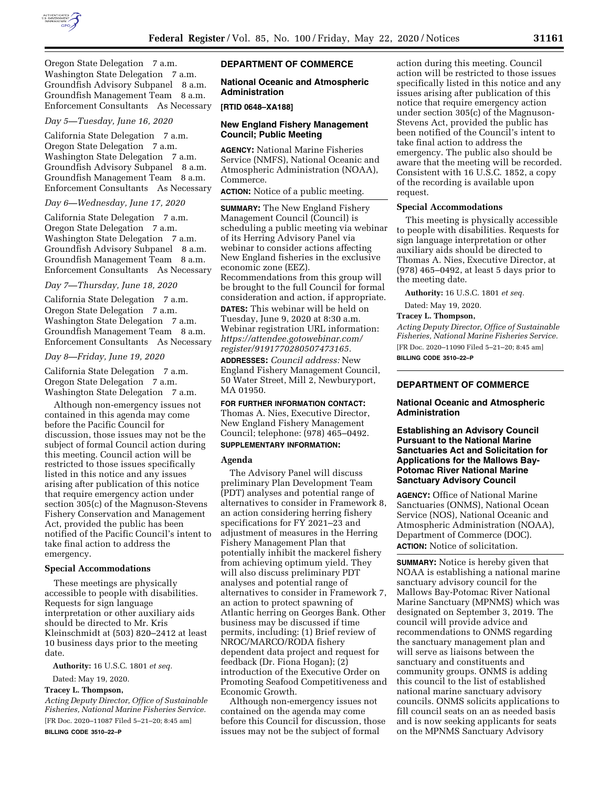

Oregon State Delegation 7 a.m. Washington State Delegation 7 a.m. Groundfish Advisory Subpanel 8 a.m. Groundfish Management Team 8 a.m. Enforcement Consultants As Necessary

# *Day 5—Tuesday, June 16, 2020*

California State Delegation 7 a.m. Oregon State Delegation 7 a.m. Washington State Delegation 7 a.m. Groundfish Advisory Subpanel 8 a.m. Groundfish Management Team 8 a.m. Enforcement Consultants As Necessary

### *Day 6—Wednesday, June 17, 2020*

California State Delegation 7 a.m. Oregon State Delegation 7 a.m. Washington State Delegation 7 a.m. Groundfish Advisory Subpanel 8 a.m. Groundfish Management Team 8 a.m. Enforcement Consultants As Necessary

### *Day 7—Thursday, June 18, 2020*

California State Delegation 7 a.m. Oregon State Delegation 7 a.m. Washington State Delegation 7 a.m. Groundfish Management Team 8 a.m. Enforcement Consultants As Necessary

#### *Day 8—Friday, June 19, 2020*

California State Delegation 7 a.m. Oregon State Delegation 7 a.m. Washington State Delegation 7 a.m.

Although non-emergency issues not contained in this agenda may come before the Pacific Council for discussion, those issues may not be the subject of formal Council action during this meeting. Council action will be restricted to those issues specifically listed in this notice and any issues arising after publication of this notice that require emergency action under section 305(c) of the Magnuson-Stevens Fishery Conservation and Management Act, provided the public has been notified of the Pacific Council's intent to take final action to address the emergency.

#### **Special Accommodations**

These meetings are physically accessible to people with disabilities. Requests for sign language interpretation or other auxiliary aids should be directed to Mr. Kris Kleinschmidt at (503) 820–2412 at least 10 business days prior to the meeting date.

**Authority:** 16 U.S.C. 1801 *et seq.* 

Dated: May 19, 2020.

# **Tracey L. Thompson,**

*Acting Deputy Director, Office of Sustainable Fisheries, National Marine Fisheries Service.*  [FR Doc. 2020–11087 Filed 5–21–20; 8:45 am] **BILLING CODE 3510–22–P** 

# **DEPARTMENT OF COMMERCE**

**National Oceanic and Atmospheric Administration** 

#### **[RTID 0648–XA188]**

# **New England Fishery Management Council; Public Meeting**

**AGENCY:** National Marine Fisheries Service (NMFS), National Oceanic and Atmospheric Administration (NOAA), Commerce.

**ACTION:** Notice of a public meeting.

**SUMMARY:** The New England Fishery Management Council (Council) is scheduling a public meeting via webinar of its Herring Advisory Panel via webinar to consider actions affecting New England fisheries in the exclusive economic zone (EEZ). Recommendations from this group will be brought to the full Council for formal

consideration and action, if appropriate. **DATES:** This webinar will be held on Tuesday, June 9, 2020 at 8:30 a.m. Webinar registration URL information: *[https://attendee.gotowebinar.com/](https://attendee.gotowebinar.com/register/9191770280507473165)  [register/9191770280507473165.](https://attendee.gotowebinar.com/register/9191770280507473165)* 

**ADDRESSES:** *Council address:* New England Fishery Management Council, 50 Water Street, Mill 2, Newburyport, MA 01950.

**FOR FURTHER INFORMATION CONTACT:**  Thomas A. Nies, Executive Director, New England Fishery Management Council; telephone: (978) 465–0492. **SUPPLEMENTARY INFORMATION:** 

#### **Agenda**

The Advisory Panel will discuss preliminary Plan Development Team (PDT) analyses and potential range of alternatives to consider in Framework 8, an action considering herring fishery specifications for FY 2021–23 and adjustment of measures in the Herring Fishery Management Plan that potentially inhibit the mackerel fishery from achieving optimum yield. They will also discuss preliminary PDT analyses and potential range of alternatives to consider in Framework 7, an action to protect spawning of Atlantic herring on Georges Bank. Other business may be discussed if time permits, including: (1) Brief review of NROC/MARCO/RODA fishery dependent data project and request for feedback (Dr. Fiona Hogan); (2) introduction of the Executive Order on Promoting Seafood Competitiveness and Economic Growth.

Although non-emergency issues not contained on the agenda may come before this Council for discussion, those issues may not be the subject of formal

action during this meeting. Council action will be restricted to those issues specifically listed in this notice and any issues arising after publication of this notice that require emergency action under section 305(c) of the Magnuson-Stevens Act, provided the public has been notified of the Council's intent to take final action to address the emergency. The public also should be aware that the meeting will be recorded. Consistent with 16 U.S.C. 1852, a copy of the recording is available upon request.

## **Special Accommodations**

This meeting is physically accessible to people with disabilities. Requests for sign language interpretation or other auxiliary aids should be directed to Thomas A. Nies, Executive Director, at (978) 465–0492, at least 5 days prior to the meeting date.

**Authority:** 16 U.S.C. 1801 *et seq.* 

Dated: May 19, 2020.

# **Tracey L. Thompson,**

*Acting Deputy Director, Office of Sustainable Fisheries, National Marine Fisheries Service.*  [FR Doc. 2020–11090 Filed 5–21–20; 8:45 am]

**BILLING CODE 3510–22–P** 

# **DEPARTMENT OF COMMERCE**

## **National Oceanic and Atmospheric Administration**

**Establishing an Advisory Council Pursuant to the National Marine Sanctuaries Act and Solicitation for Applications for the Mallows Bay-Potomac River National Marine Sanctuary Advisory Council** 

**AGENCY:** Office of National Marine Sanctuaries (ONMS), National Ocean Service (NOS), National Oceanic and Atmospheric Administration (NOAA), Department of Commerce (DOC). **ACTION:** Notice of solicitation.

**SUMMARY:** Notice is hereby given that NOAA is establishing a national marine sanctuary advisory council for the Mallows Bay-Potomac River National Marine Sanctuary (MPNMS) which was designated on September 3, 2019. The council will provide advice and recommendations to ONMS regarding the sanctuary management plan and will serve as liaisons between the sanctuary and constituents and community groups. ONMS is adding this council to the list of established national marine sanctuary advisory councils. ONMS solicits applications to fill council seats on an as needed basis and is now seeking applicants for seats on the MPNMS Sanctuary Advisory